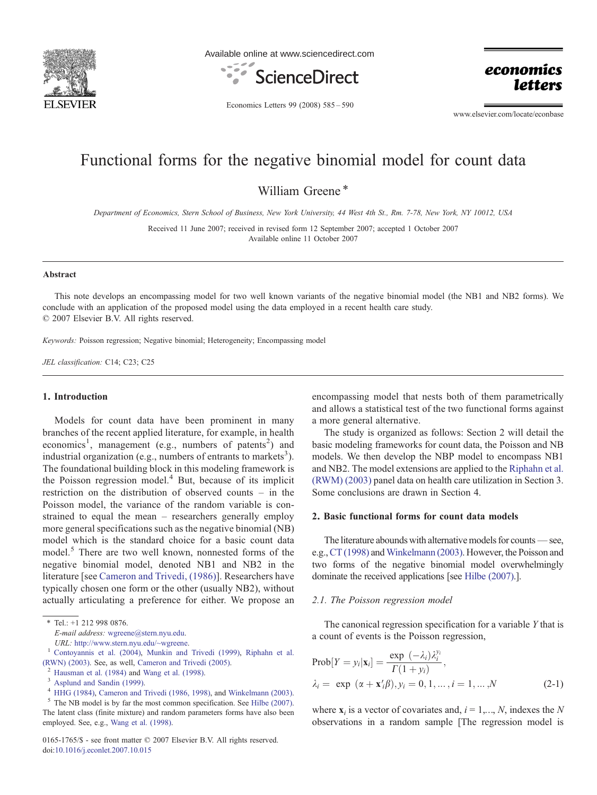

Available online at www.sciencedirect.com



economics *letters* 

Economics Letters 99 (2008) 585–590

www.elsevier.com/locate/econbase

# Functional forms for the negative binomial model for count data

William Greene\*

Department of Economics, Stern School of Business, New York University, 44 West 4th St., Rm. 7-78, New York, NY 10012, USA

Received 11 June 2007; received in revised form 12 September 2007; accepted 1 October 2007 Available online 11 October 2007

#### Abstract

This note develops an encompassing model for two well known variants of the negative binomial model (the NB1 and NB2 forms). We conclude with an application of the proposed model using the data employed in a recent health care study. © 2007 Elsevier B.V. All rights reserved.

Keywords: Poisson regression; Negative binomial; Heterogeneity; Encompassing model

JEL classification: C14; C23; C25

## 1. Introduction

Models for count data have been prominent in many branches of the recent applied literature, for example, in health economics<sup>1</sup>, management (e.g., numbers of patents<sup>2</sup>) and industrial organization (e.g., numbers of entrants to markets<sup>3</sup>). The foundational building block in this modeling framework is the Poisson regression model. $4$  But, because of its implicit restriction on the distribution of observed counts – in the Poisson model, the variance of the random variable is constrained to equal the mean – researchers generally employ more general specifications such as the negative binomial (NB) model which is the standard choice for a basic count data model.<sup>5</sup> There are two well known, nonnested forms of the negative binomial model, denoted NB1 and NB2 in the literature [see [Cameron and Trivedi, \(1986\)\]](#page-4-0). Researchers have typically chosen one form or the other (usually NB2), without actually articulating a preference for either. We propose an

E-mail address: [wgreene@stern.nyu.edu](mailto:wgreene@stern.nyu.edu).

 $<sup>5</sup>$  The NB model is by far the most common specification. See [Hilbe \(2007\).](#page-5-0)</sup> The latent class (finite mixture) and random parameters forms have also been employed. See, e.g., [Wang et al. \(1998\).](#page-5-0)

0165-1765/\$ - see front matter © 2007 Elsevier B.V. All rights reserved. doi:[10.1016/j.econlet.2007.10.015](http://dx.doi.org/10.1016/j.econlet.2007.10.015)

encompassing model that nests both of them parametrically and allows a statistical test of the two functional forms against a more general alternative.

The study is organized as follows: Section 2 will detail the basic modeling frameworks for count data, the Poisson and NB models. We then develop the NBP model to encompass NB1 and NB2. The model extensions are applied to the [Riphahn et al.](#page-5-0) [\(RWM\) \(2003\)](#page-5-0) panel data on health care utilization in Section 3. Some conclusions are drawn in Section 4.

#### 2. Basic functional forms for count data models

The literature abounds with alternative models for counts—see, e.g., [CT \(1998\)](#page-4-0) and [Winkelmann \(2003\)](#page-5-0). However, the Poisson and two forms of the negative binomial model overwhelmingly dominate the received applications [see [Hilbe \(2007\).](#page-5-0)].

#### 2.1. The Poisson regression model

The canonical regression specification for a variable Y that is a count of events is the Poisson regression,

$$
\text{Prob}[Y = y_i | \mathbf{x}_i] = \frac{\exp(-\lambda_i)\lambda_i^{y_i}}{\Gamma(1+y_i)},
$$
  

$$
\lambda_i = \exp(\alpha + \mathbf{x}_i'\beta), y_i = 0, 1, ..., i = 1, ..., N
$$
 (2-1)

where  $x_i$  is a vector of covariates and,  $i = 1,..., N$ , indexes the N observations in a random sample [The regression model is

 $*$  Tel.: +1 212 998 0876.

URL: <http://www.stern.nyu.edu/~wgreene>. <sup>1</sup> [Contoyannis et al. \(2004\)](#page-4-0), [Munkin and Trivedi \(1999\)](#page-5-0), [Riphahn et al.](#page-5-0) [\(RWN\) \(2003\)](#page-5-0). See, as well, [Cameron and Trivedi \(2005\)](#page-4-0).<br>
<sup>2</sup> [Hausman et al. \(1984\)](#page-5-0) and [Wang et al. \(1998\)](#page-5-0).<br>
<sup>3</sup> [Asplund and Sandin \(1999\)](#page-4-0).<br>
<sup>4</sup> [HHG \(1984\)](#page-5-0), [Cameron and Trivedi \(1986, 1998\),](#page-4-0) and [Winkelmann \(2003\).](#page-5-0)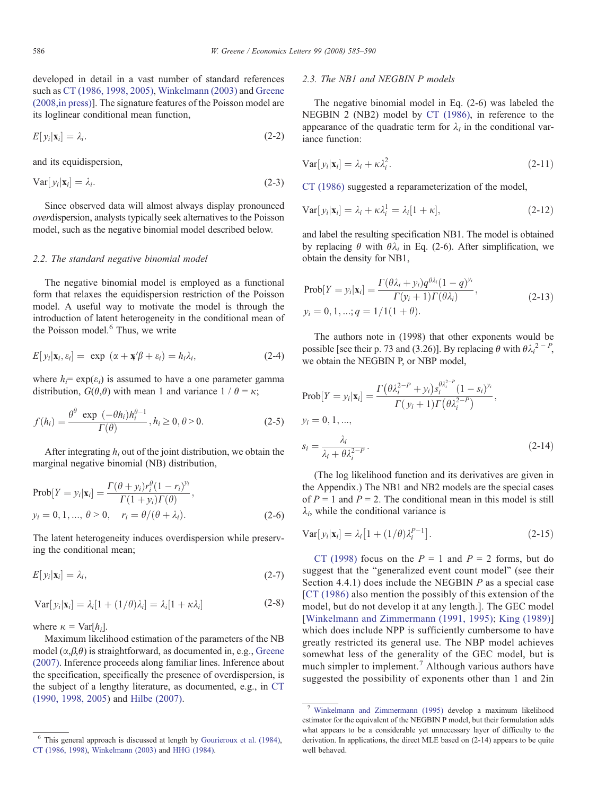developed in detail in a vast number of standard references such as [CT \(1986, 1998, 2005\)](#page-4-0), [Winkelmann \(2003\)](#page-5-0) and [Greene](#page-5-0) [\(2008,in press\)\]](#page-5-0). The signature features of the Poisson model are its loglinear conditional mean function,

$$
E[y_i|\mathbf{x}_i] = \lambda_i. \tag{2-2}
$$

and its equidispersion,

$$
Var[y_i|x_i] = \lambda_i. \tag{2-3}
$$

Since observed data will almost always display pronounced overdispersion, analysts typically seek alternatives to the Poisson model, such as the negative binomial model described below.

## 2.2. The standard negative binomial model

The negative binomial model is employed as a functional form that relaxes the equidispersion restriction of the Poisson model. A useful way to motivate the model is through the introduction of latent heterogeneity in the conditional mean of the Poisson model.<sup>6</sup> Thus, we write

$$
E[y_i|\mathbf{x}_i, \varepsilon_i] = \exp(\alpha + \mathbf{x}'\beta + \varepsilon_i) = h_i \lambda_i, \tag{2-4}
$$

where  $h_i = \exp(\varepsilon_i)$  is assumed to have a one parameter gamma distribution,  $G(\theta, \theta)$  with mean 1 and variance  $1 / \theta = \kappa$ ;

$$
f(h_i) = \frac{\theta^{\theta} \exp\left(-\theta h_i\right)h_i^{\theta-1}}{\Gamma(\theta)}, h_i \ge 0, \theta > 0.
$$
 (2-5)

After integrating  $h_i$  out of the joint distribution, we obtain the marginal negative binomial (NB) distribution,

Prob[*Y* = *y<sub>i</sub>*|**x**<sub>i</sub>] = 
$$
\frac{\Gamma(\theta + y_i)r_i^{\theta}(1 - r_i)^{y_i}}{\Gamma(1 + y_i)\Gamma(\theta)},
$$
  
\n*y<sub>i</sub>* = 0, 1, ..., θ > 0, *r<sub>i</sub>* = θ/(θ + λ<sub>i</sub>). (2-6)

The latent heterogeneity induces overdispersion while preserving the conditional mean;

$$
E[y_i|\mathbf{x}_i] = \lambda_i, \tag{2-7}
$$

$$
Var[y_i|\mathbf{x}_i] = \lambda_i[1 + (1/\theta)\lambda_i] = \lambda_i[1 + \kappa\lambda_i]
$$
 (2-8)

where  $\kappa = \text{Var}[h_i]$ .

Maximum likelihood estimation of the parameters of the NB model  $(\alpha, \beta, \theta)$  is straightforward, as documented in, e.g., [Greene](#page-5-0) [\(2007\)](#page-5-0). Inference proceeds along familiar lines. Inference about the specification, specifically the presence of overdispersion, is the subject of a lengthy literature, as documented, e.g., in [CT](#page-4-0) [\(1990, 1998, 2005\)](#page-4-0) and [Hilbe \(2007\).](#page-5-0)

## 2.3. The NB1 and NEGBIN P models

The negative binomial model in Eq. (2-6) was labeled the NEGBIN 2 (NB2) model by [CT \(1986\)](#page-4-0), in reference to the appearance of the quadratic term for  $\lambda_i$  in the conditional variance function:

$$
Var[y_i|\mathbf{x}_i] = \lambda_i + \kappa \lambda_i^2.
$$
\n(2-11)

[CT \(1986\)](#page-4-0) suggested a reparameterization of the model,

$$
\text{Var}[y_i|\mathbf{x}_i] = \lambda_i + \kappa \lambda_i^1 = \lambda_i [1 + \kappa],\tag{2-12}
$$

and label the resulting specification NB1. The model is obtained by replacing  $\theta$  with  $\theta \lambda_i$  in Eq. (2-6). After simplification, we obtain the density for NB1,

$$
\text{Prob}[Y = y_i | \mathbf{x}_i] = \frac{\Gamma(\theta \lambda_i + y_i) q^{\theta \lambda_i} (1 - q)^{y_i}}{\Gamma(y_i + 1) \Gamma(\theta \lambda_i)},
$$
\n
$$
y_i = 0, 1, \dots; q = 1/1(1 + \theta). \tag{2-13}
$$

The authors note in (1998) that other exponents would be possible [see their p. 73 and (3.26)]. By replacing  $\theta$  with  $\theta \lambda_i^2$  - <sup>p</sup>, we obtain the NEGBIN P, or NBP model,

$$
\text{Prob}[Y = y_i | \mathbf{x}_i] = \frac{\Gamma(\theta \lambda_i^{2-P} + y_i) s_i^{\theta \lambda_i^{2-P}} (1 - s_i)^{y_i}}{\Gamma(y_i + 1) \Gamma(\theta \lambda_i^{2-P})},
$$
\n
$$
y_i = 0, 1, ...,
$$
\n
$$
s_i = \frac{\lambda_i}{\lambda_i + \theta \lambda_i^{2-P}}.
$$
\n(2-14)

(The log likelihood function and its derivatives are given in the Appendix.) The NB1 and NB2 models are the special cases of  $P = 1$  and  $P = 2$ . The conditional mean in this model is still  $\lambda_i$ , while the conditional variance is

$$
Var[y_i|\mathbf{x}_i] = \lambda_i \left[1 + (1/\theta)\lambda_i^{P-1}\right].
$$
\n(2-15)

[CT \(1998\)](#page-4-0) focus on the  $P = 1$  and  $P = 2$  forms, but do suggest that the "generalized event count model" (see their Section 4.4.1) does include the NEGBIN P as a special case [[CT \(1986\)](#page-4-0) also mention the possibly of this extension of the model, but do not develop it at any length.]. The GEC model [[Winkelmann and Zimmermann \(1991, 1995\)](#page-5-0); [King \(1989\)\]](#page-5-0) which does include NPP is sufficiently cumbersome to have greatly restricted its general use. The NBP model achieves somewhat less of the generality of the GEC model, but is much simpler to implement.<sup>7</sup> Although various authors have suggested the possibility of exponents other than 1 and 2in

 $6$  This general approach is discussed at length by [Gourieroux et al. \(1984\)](#page-5-0), [CT \(1986, 1998\)](#page-4-0), [Winkelmann \(2003\)](#page-5-0) and [HHG \(1984\)](#page-5-0).

<sup>7</sup> [Winkelmann and Zimmermann \(1995\)](#page-5-0) develop a maximum likelihood estimator for the equivalent of the NEGBIN P model, but their formulation adds what appears to be a considerable yet unnecessary layer of difficulty to the derivation. In applications, the direct MLE based on (2-14) appears to be quite well behaved.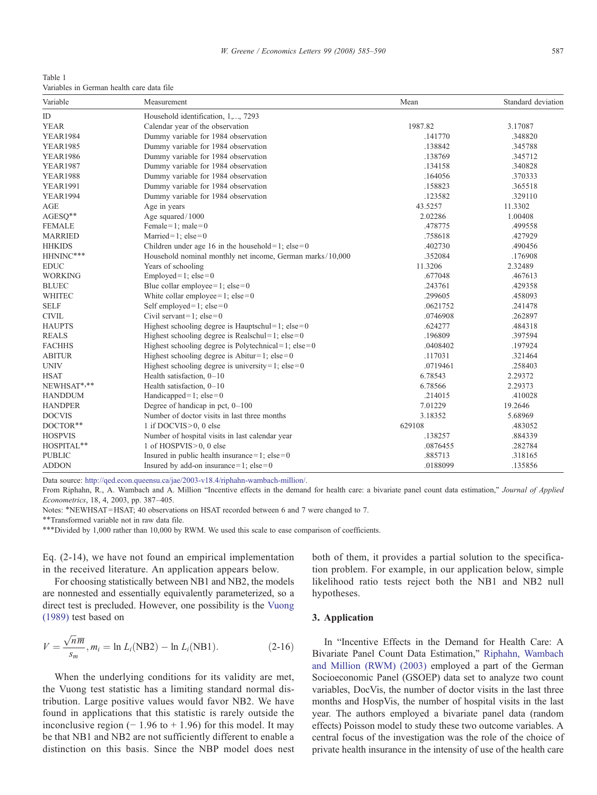<span id="page-2-0"></span>Table 1 Variables in German health care data file

| Variable<br>Measurement |                                                           | Mean     | Standard deviation |  |  |  |
|-------------------------|-----------------------------------------------------------|----------|--------------------|--|--|--|
| ID                      | Household identification, 1,, 7293                        |          |                    |  |  |  |
| <b>YEAR</b>             | Calendar year of the observation                          | 1987.82  | 3.17087            |  |  |  |
| <b>YEAR1984</b>         | Dummy variable for 1984 observation                       | .141770  | .348820            |  |  |  |
| <b>YEAR1985</b>         | Dummy variable for 1984 observation                       | .138842  | .345788            |  |  |  |
| <b>YEAR1986</b>         | Dummy variable for 1984 observation                       | .138769  | .345712            |  |  |  |
| <b>YEAR1987</b>         | Dummy variable for 1984 observation                       | .134158  | .340828            |  |  |  |
| <b>YEAR1988</b>         | Dummy variable for 1984 observation                       | .164056  | .370333            |  |  |  |
| <b>YEAR1991</b>         | Dummy variable for 1984 observation                       | .158823  | .365518            |  |  |  |
| <b>YEAR1994</b>         | Dummy variable for 1984 observation                       | .123582  | .329110            |  |  |  |
| AGE                     | Age in years                                              | 43.5257  | 11.3302            |  |  |  |
| AGESQ**                 | Age squared/1000                                          | 2.02286  | 1.00408            |  |  |  |
| <b>FEMALE</b>           | Female = 1; male = $0$                                    | .478775  | .499558            |  |  |  |
| <b>MARRIED</b>          | Married=1; $else=0$                                       | .758618  | .427929            |  |  |  |
| <b>HHKIDS</b>           | Children under age 16 in the household=1; $else=0$        | .402730  | .490456            |  |  |  |
| HHNINC***               | Household nominal monthly net income, German marks/10,000 | .352084  | .176908            |  |  |  |
| <b>EDUC</b>             | Years of schooling                                        | 11.3206  | 2.32489            |  |  |  |
| <b>WORKING</b>          | Employed=1; $else=0$                                      | .677048  | .467613            |  |  |  |
| <b>BLUEC</b>            | Blue collar employee = 1; $else=0$                        | .243761  | .429358            |  |  |  |
| WHITEC                  | White collar employee = 1; $else=0$                       | .299605  | .458093            |  |  |  |
| <b>SELF</b>             | Self employed= $1$ ; else= $0$                            | .0621752 | .241478            |  |  |  |
| <b>CIVIL</b>            | Civil servant=1; $else=0$                                 | .0746908 | .262897            |  |  |  |
| <b>HAUPTS</b>           | Highest schooling degree is Hauptschul=1; $else=0$        | .624277  | .484318            |  |  |  |
| <b>REALS</b>            | Highest schooling degree is Realschul=1; $else=0$         | .196809  | .397594            |  |  |  |
| <b>FACHHS</b>           | Highest schooling degree is Polytechnical=1; $else=0$     | .0408402 | .197924            |  |  |  |
| <b>ABITUR</b>           | Highest schooling degree is Abitur=1; $else=0$            | .117031  | .321464            |  |  |  |
| <b>UNIV</b>             | Highest schooling degree is university = 1; $else=0$      | .0719461 | .258403            |  |  |  |
| <b>HSAT</b>             | Health satisfaction, 0-10                                 | 6.78543  | 2.29372            |  |  |  |
| NEWHSAT*,**             | Health satisfaction, $0-10$                               | 6.78566  | 2.29373            |  |  |  |
| <b>HANDDUM</b>          | Handicapped=1; $else=0$                                   | .214015  | .410028            |  |  |  |
| <b>HANDPER</b>          | Degree of handicap in pct, $0-100$                        | 7.01229  | 19.2646            |  |  |  |
| <b>DOCVIS</b>           | Number of doctor visits in last three months              | 3.18352  | 5.68969            |  |  |  |
| DOCTOR**                | 1 if DOCVIS>0, 0 else                                     | 629108   | .483052            |  |  |  |
| <b>HOSPVIS</b>          | Number of hospital visits in last calendar year           | .138257  | .884339            |  |  |  |
| HOSPITAL**              | 1 of HOSPVIS>0, 0 else                                    | .0876455 | .282784            |  |  |  |
| <b>PUBLIC</b>           | Insured in public health insurance=1; $else=0$            | .885713  | .318165            |  |  |  |
| <b>ADDON</b>            | Insured by add-on insurance=1; $else=0$                   | .0188099 | .135856            |  |  |  |

Data source: [http://qed.econ.queensu.ca/jae/2003-v18.4/riphahn-wambach-million/.](http://qed.econ.queensu.ca/jae/2003-v18.4/riphahn-wambach-million/)

From Riphahn, R., A. Wambach and A. Million "Incentive effects in the demand for health care: a bivariate panel count data estimation," Journal of Applied Econometrics, 18, 4, 2003, pp. 387–405.

Notes: \*NEWHSAT=HSAT; 40 observations on HSAT recorded between 6 and 7 were changed to 7.

⁎⁎Transformed variable not in raw data file.

⁎⁎⁎Divided by 1,000 rather than 10,000 by RWM. We used this scale to ease comparison of coefficients.

Eq. (2-14), we have not found an empirical implementation in the received literature. An application appears below.

For choosing statistically between NB1 and NB2, the models are nonnested and essentially equivalently parameterized, so a direct test is precluded. However, one possibility is the [Vuong](#page-5-0) [\(1989\)](#page-5-0) test based on

$$
V = \frac{\sqrt{n}m}{s_m}, m_i = \ln L_i(\text{NB2}) - \ln L_i(\text{NB1}).
$$
 (2-16)

When the underlying conditions for its validity are met, the Vuong test statistic has a limiting standard normal distribution. Large positive values would favor NB2. We have found in applications that this statistic is rarely outside the inconclusive region ( $-1.96$  to  $+1.96$ ) for this model. It may be that NB1 and NB2 are not sufficiently different to enable a distinction on this basis. Since the NBP model does nest both of them, it provides a partial solution to the specification problem. For example, in our application below, simple likelihood ratio tests reject both the NB1 and NB2 null hypotheses.

# 3. Application

In "Incentive Effects in the Demand for Health Care: A Bivariate Panel Count Data Estimation," [Riphahn, Wambach](#page-5-0) [and Million \(RWM\) \(2003\)](#page-5-0) employed a part of the German Socioeconomic Panel (GSOEP) data set to analyze two count variables, DocVis, the number of doctor visits in the last three months and HospVis, the number of hospital visits in the last year. The authors employed a bivariate panel data (random effects) Poisson model to study these two outcome variables. A central focus of the investigation was the role of the choice of private health insurance in the intensity of use of the health care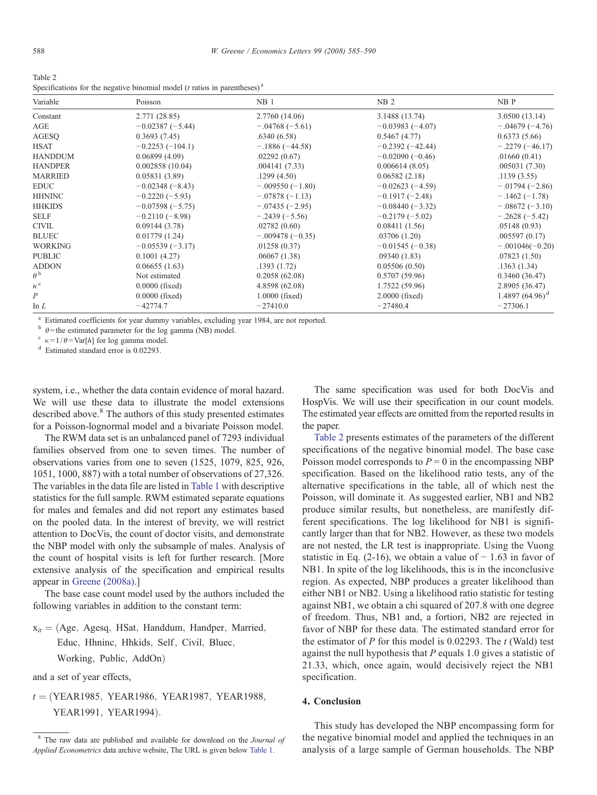| Table 2                                                                                  |
|------------------------------------------------------------------------------------------|
| Specifications for the negative binomial model ( $t$ ratios in parentheses) <sup>a</sup> |

| Variable         | Poisson            | NB <sub>1</sub>   | NB <sub>2</sub>   | NB P               |
|------------------|--------------------|-------------------|-------------------|--------------------|
| Constant         | 2.771(28.85)       | 2.7760 (14.06)    | 3.1488 (13.74)    | 3.0500(13.14)      |
| AGE              | $-0.02387(-5.44)$  | $-.04768(-5.61)$  | $-0.03983(-4.07)$ | $-.04679(-4.76)$   |
| AGESO            | 0.3693(7.45)       | .6340(6.58)       | 0.5467(4.77)      | 0.6373(5.66)       |
| <b>HSAT</b>      | $-0.2253(-104.1)$  | $-.1886(-44.58)$  | $-0.2392(-42.44)$ | $-.2279(-46.17)$   |
| <b>HANDDUM</b>   | 0.06899(4.09)      | .02292(0.67)      | $-0.02090(-0.46)$ | .01660(0.41)       |
| <b>HANDPER</b>   | 0.002858(10.04)    | .004141(7.33)     | 0.006614(8.05)    | .005031(7.30)      |
| <b>MARRIED</b>   | 0.05831(3.89)      | .1299(4.50)       | 0.06582(2.18)     | .1139(3.55)        |
| <b>EDUC</b>      | $-0.02348(-8.43)$  | $-.009550(-1.80)$ | $-0.02623(-4.59)$ | $-.01794(-2.86)$   |
| <b>HHNINC</b>    | $-0.2220(-5.93)$   | $-.07878(-1.13)$  | $-0.1917(-2.48)$  | $-.1462(-1.78)$    |
| <b>HHKIDS</b>    | $-0.07598 (-5.75)$ | $-.07435(-2.95)$  | $-0.08440(-3.32)$ | $-.08672(-3.10)$   |
| <b>SELF</b>      | $-0.2110(-8.98)$   | $-.2439(-5.56)$   | $-0.2179(-5.02)$  | $-.2628(-5.42)$    |
| <b>CIVIL</b>     | 0.09144(3.78)      | .02782(0.60)      | 0.08411(1.56)     | .05148(0.93)       |
| <b>BLUEC</b>     | 0.01779(1.24)      | $-.009478(-0.35)$ | .03706(1.20)      | .005597(0.17)      |
| <b>WORKING</b>   | $-0.05539(-3.17)$  | .01258(0.37)      | $-0.01545(-0.38)$ | $-.001046(-0.20)$  |
| <b>PUBLIC</b>    | 0.1001(4.27)       | .06067(1.38)      | .09340(1.83)      | .07823(1.50)       |
| <b>ADDON</b>     | 0.06655(1.63)      | .1393(1.72)       | 0.05506(0.50)     | .1363(1.34)        |
| $\theta^{\,b}$   | Not estimated      | 0.2058(62.08)     | 0.5707(59.96)     | 0.3460(36.47)      |
| $\kappa^{\rm c}$ | $0.0000$ (fixed)   | 4.8598 (62.08)    | 1.7522 (59.96)    | 2.8905 (36.47)     |
| P                | $0.0000$ (fixed)   | $1.0000$ (fixed)  | $2.0000$ (fixed)  | 1.4897 $(64.96)^d$ |
| In $L$           | $-42774.7$         | $-27410.0$        | $-27480.4$        | $-27306.1$         |

<sup>a</sup> Estimated coefficients for year dummy variables, excluding year 1984, are not reported.

<sup>b</sup> θ=the estimated parameter for the log gamma (NB) model.<br><sup>c</sup> κ=1/θ= Var[h] for log gamma model.<br><sup>d</sup> Estimated standard error is 0.02293.

system, i.e., whether the data contain evidence of moral hazard. We will use these data to illustrate the model extensions described above.<sup>8</sup> The authors of this study presented estimates for a Poisson-lognormal model and a bivariate Poisson model.

The RWM data set is an unbalanced panel of 7293 individual families observed from one to seven times. The number of observations varies from one to seven (1525, 1079, 825, 926, 1051, 1000, 887) with a total number of observations of 27,326. The variables in the data file are listed in [Table 1](#page-2-0) with descriptive statistics for the full sample. RWM estimated separate equations for males and females and did not report any estimates based on the pooled data. In the interest of brevity, we will restrict attention to DocVis, the count of doctor visits, and demonstrate the NBP model with only the subsample of males. Analysis of the count of hospital visits is left for further research. [More extensive analysis of the specification and empirical results appear in [Greene \(2008a\)](#page-5-0).]

The base case count model used by the authors included the following variables in addition to the constant term:

 $x_{it} = (Age, Agesq, HSat, Handdum, Handper, Married,$ Educ, Hhninc, Hhkids, Self, Civil, Bluec, Working, Public, AddOn)

and a set of year effects,

 $t = (YEAR1985, YEAR1986, YEAR1987, YEAR1988,$ YEAR1991, YEAR1994).

The same specification was used for both DocVis and HospVis. We will use their specification in our count models. The estimated year effects are omitted from the reported results in the paper.

Table 2 presents estimates of the parameters of the different specifications of the negative binomial model. The base case Poisson model corresponds to  $P = 0$  in the encompassing NBP specification. Based on the likelihood ratio tests, any of the alternative specifications in the table, all of which nest the Poisson, will dominate it. As suggested earlier, NB1 and NB2 produce similar results, but nonetheless, are manifestly different specifications. The log likelihood for NB1 is significantly larger than that for NB2. However, as these two models are not nested, the LR test is inappropriate. Using the Vuong statistic in Eq. (2-16), we obtain a value of  $-1.63$  in favor of NB1. In spite of the log likelihoods, this is in the inconclusive region. As expected, NBP produces a greater likelihood than either NB1 or NB2. Using a likelihood ratio statistic for testing against NB1, we obtain a chi squared of 207.8 with one degree of freedom. Thus, NB1 and, a fortiori, NB2 are rejected in favor of NBP for these data. The estimated standard error for the estimator of  $P$  for this model is 0.02293. The  $t$  (Wald) test against the null hypothesis that  $P$  equals 1.0 gives a statistic of 21.33, which, once again, would decisively reject the NB1 specification.

#### 4. Conclusion

This study has developed the NBP encompassing form for the negative binomial model and applied the techniques in an analysis of a large sample of German households. The NBP

<sup>&</sup>lt;sup>8</sup> The raw data are published and available for download on the *Journal of* Applied Econometrics data archive website, The URL is given below [Table 1](#page-2-0).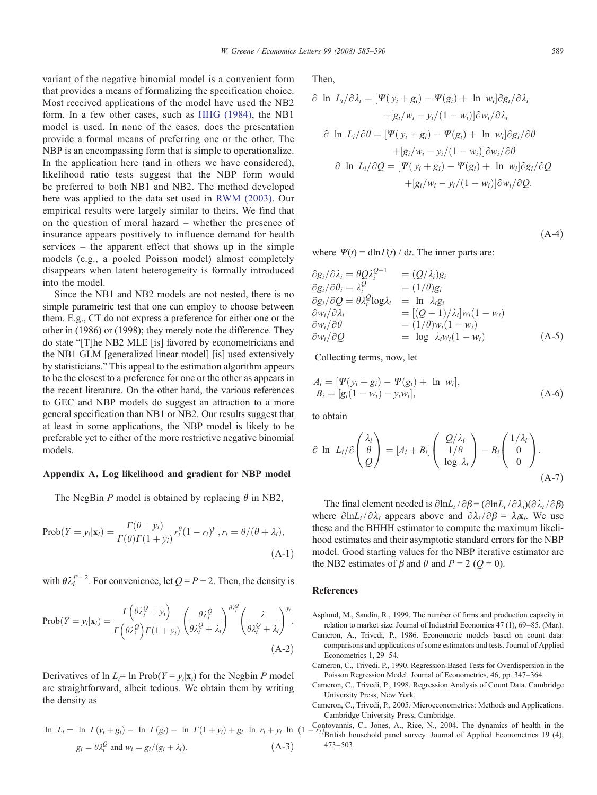<span id="page-4-0"></span>variant of the negative binomial model is a convenient form that provides a means of formalizing the specification choice. Most received applications of the model have used the NB2 form. In a few other cases, such as [HHG \(1984\)](#page-5-0), the NB1 model is used. In none of the cases, does the presentation provide a formal means of preferring one or the other. The NBP is an encompassing form that is simple to operationalize. In the application here (and in others we have considered), likelihood ratio tests suggest that the NBP form would be preferred to both NB1 and NB2. The method developed here was applied to the data set used in [RWM \(2003\).](#page-5-0) Our empirical results were largely similar to theirs. We find that on the question of moral hazard – whether the presence of insurance appears positively to influence demand for health services – the apparent effect that shows up in the simple models (e.g., a pooled Poisson model) almost completely disappears when latent heterogeneity is formally introduced into the model.

Since the NB1 and NB2 models are not nested, there is no simple parametric test that one can employ to choose between them. E.g., CT do not express a preference for either one or the other in (1986) or (1998); they merely note the difference. They do state "[T]he NB2 MLE [is] favored by econometricians and the NB1 GLM [generalized linear model] [is] used extensively by statisticians." This appeal to the estimation algorithm appears to be the closest to a preference for one or the other as appears in the recent literature. On the other hand, the various references to GEC and NBP models do suggest an attraction to a more general specification than NB1 or NB2. Our results suggest that at least in some applications, the NBP model is likely to be preferable yet to either of the more restrictive negative binomial models.

## Appendix A. Log likelihood and gradient for NBP model

The NegBin P model is obtained by replacing  $\theta$  in NB2,

$$
\text{Prob}(Y = y_i | \mathbf{x}_i) = \frac{\Gamma(\theta + y_i)}{\Gamma(\theta)\Gamma(1 + y_i)} r_i^{\theta} (1 - r_i)^{y_i}, r_i = \theta/(\theta + \lambda_i),
$$
\n(A-1)

with  $\theta \lambda_i^{P-2}$ . For convenience, let  $Q = P - 2$ . Then, the density is

$$
Prob(Y = y_i | \mathbf{x}_i) = \frac{\Gamma\left(\theta \lambda_i^Q + y_i\right)}{\Gamma\left(\theta \lambda_i^Q\right) \Gamma(1 + y_i)} \left(\frac{\theta \lambda_i^Q}{\theta \lambda_i^Q + \lambda_i}\right)^{\theta \lambda_i^Q} \left(\frac{\lambda}{\theta \lambda_i^Q + \lambda_i}\right)^{y_i}.
$$
\n(A-2)

Derivatives of  $\ln L_i = \ln \text{Prob}(Y = y_i|\mathbf{x}_i)$  for the Negbin P model are straightforward, albeit tedious. We obtain them by writing the density as

$$
\ln L_i = \ln \Gamma(y_i + g_i) - \ln \Gamma(g_i) - \ln \Gamma(1 + y_i) + g_i \ln r_i + y_i \ln \frac{g_i}{g_i} = \theta \lambda_i^Q \text{ and } w_i = g_i/(g_i + \lambda_i). \tag{A-3}
$$

Then,

$$
\partial \ln L_i/\partial \lambda_i = [\Psi(y_i + g_i) - \Psi(g_i) + \ln w_i] \partial g_i/\partial \lambda_i
$$
  
+ 
$$
[g_i/w_i - y_i/(1 - w_i)] \partial w_i/\partial \lambda_i
$$
  

$$
\partial \ln L_i/\partial \theta = [\Psi(y_i + g_i) - \Psi(g_i) + \ln w_i] \partial g_i/\partial \theta
$$
  
+ 
$$
[g_i/w_i - y_i/(1 - w_i)] \partial w_i/\partial \theta
$$
  

$$
\partial \ln L_i/\partial Q = [\Psi(y_i + g_i) - \Psi(g_i) + \ln w_i] \partial g_i/\partial Q
$$
  
+ 
$$
[g_i/w_i - y_i/(1 - w_i)] \partial w_i/\partial Q.
$$

 $(A-4)$ 

where  $\Psi(t) = \text{dln} \Gamma(t) / \text{d}t$ . The inner parts are:

$$
\partial g_i/\partial \lambda_i = \theta Q \lambda_i^{Q-1} = (Q/\lambda_i) g_i
$$
  
\n
$$
\partial g_i/\partial \theta_i = \lambda_i^Q = (1/\theta) g_i
$$
  
\n
$$
\partial g_i/\partial Q = \theta \lambda_i^Q \log \lambda_i = \ln \lambda_i g_i
$$
  
\n
$$
\partial w_i/\partial \lambda_i = [(Q-1)/\lambda_i] w_i (1 - w_i)
$$
  
\n
$$
\partial w_i/\partial Q = \log \lambda_i w_i (1 - w_i)
$$
  
\n
$$
\partial w_i/\partial Q = \log \lambda_i w_i (1 - w_i)
$$
 (A-5)

Collecting terms, now, let

$$
A_i = [\Psi(y_i + g_i) - \Psi(g_i) + \ln w_i],
$$
  
\n
$$
B_i = [g_i(1 - w_i) - y_i w_i],
$$
\n(A-6)

to obtain

$$
\partial \ln L_i/\partial \begin{pmatrix} \lambda_i \\ \theta \\ Q \end{pmatrix} = [A_i + B_i] \begin{pmatrix} Q/\lambda_i \\ 1/\theta \\ \log \lambda_i \end{pmatrix} - B_i \begin{pmatrix} 1/\lambda_i \\ 0 \\ 0 \end{pmatrix}.
$$
\n(A-7)

The final element needed is  $\partial \ln L_i / \partial \beta = (\partial \ln L_i / \partial \lambda_i) (\partial \lambda_i / \partial \beta)$ where  $\partial \ln L_i / \partial \lambda_i$  appears above and  $\partial \lambda_i / \partial \beta = \lambda_i x_i$ . We use these and the BHHH estimator to compute the maximum likelihood estimates and their asymptotic standard errors for the NBP model. Good starting values for the NBP iterative estimator are the NB2 estimates of  $\beta$  and  $\theta$  and  $P = 2$  ( $Q = 0$ ).

## References

- Asplund, M., Sandin, R., 1999. The number of firms and production capacity in relation to market size. Journal of Industrial Economics 47 (1), 69–85. (Mar.).
- Cameron, A., Trivedi, P., 1986. Econometric models based on count data: comparisons and applications of some estimators and tests. Journal of Applied Econometrics 1, 29–54.
- Cameron, C., Trivedi, P., 1990. Regression-Based Tests for Overdispersion in the Poisson Regression Model. Journal of Econometrics, 46, pp. 347–364.
- Cameron, C., Trivedi, P., 1998. Regression Analysis of Count Data. Cambridge University Press, New York.
- Cameron, C., Trivedi, P., 2005. Microeconometrics: Methods and Applications. Cambridge University Press, Cambridge.
- $\ln L_i = \ln \Gamma(y_i + g_i) \ln \Gamma(g_i) \ln \Gamma(1 + y_i) + g_i \ln r_i + y_i \ln (1 r_i)$ British household panel survey. Journal of Applied Econometrics 19 (4) British household panel survey. Journal of Applied Econometrics 19 (4), 473–503.